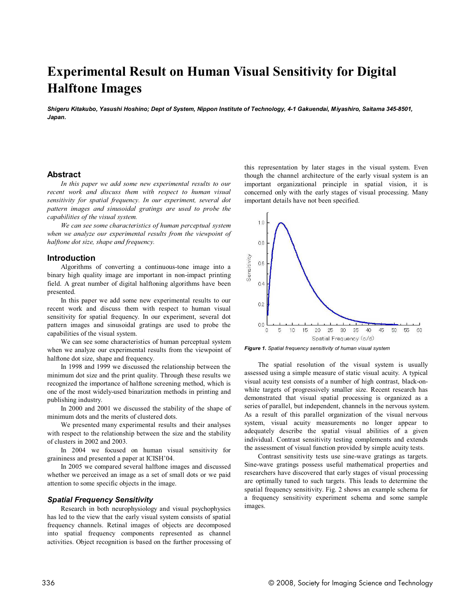# **Experimental Result on Human Visual Sensitivity for Digital Halftone Images**

*Shigeru Kitakubo, Yasushi Hoshino; Dept of System, Nippon Institute of Technology, 4-1 Gakuendai, Miyashiro, Saitama 345-8501, Japan.*

# **Abstract**

*In this paper we add some new experimental results to our recent work and discuss them with respect to human visual sensitivity for spatial frequency. In our experiment, several dot pattern images and sinusoidal gratings are used to probe the capabilities of the visual system.*

*We can see some characteristics of human perceptual system when we analyze our experimental results from the viewpoint of halftone dot size, shape and frequency.*

## **Introduction**

Algorithms of converting a continuous-tone image into a binary high quality image are important in non-impact printing field. A great number of digital halftoning algorithms have been presented.

In this paper we add some new experimental results to our recent work and discuss them with respect to human visual sensitivity for spatial frequency. In our experiment, several dot pattern images and sinusoidal gratings are used to probe the capabilities of the visual system.

We can see some characteristics of human perceptual system when we analyze our experimental results from the viewpoint of halftone dot size, shape and frequency.

In 1998 and 1999 we discussed the relationship between the minimum dot size and the print quality. Through these results we recognized the importance of halftone screening method, which is one of the most widely-used binarization methods in printing and publishing industry.

In 2000 and 2001 we discussed the stability of the shape of minimum dots and the merits of clustered dots.

We presented many experimental results and their analyses with respect to the relationship between the size and the stability of clusters in 2002 and 2003.

In 2004 we focused on human visual sensitivity for graininess and presented a paper at ICISH'04.

In 2005 we compared several halftone images and discussed whether we perceived an image as a set of small dots or we paid attention to some specific objects in the image.

# *Spatial Frequency Sensitivity*

Research in both neurophysiology and visual psychophysics has led to the view that the early visual system consists of spatial frequency channels. Retinal images of objects are decomposed into spatial frequency components represented as channel activities. Object recognition is based on the further processing of this representation by later stages in the visual system. Even though the channel architecture of the early visual system is an important organizational principle in spatial vision, it is concerned only with the early stages of visual processing. Many important details have not been specified.



*Figure 1. Spatial frequency sensitivity of human visual system*

The spatial resolution of the visual system is usually assessed using a simple measure of static visual acuity. A typical visual acuity test consists of a number of high contrast, black-onwhite targets of progressively smaller size. Recent research has demonstrated that visual spatial processing is organized as a series of parallel, but independent, channels in the nervous system. As a result of this parallel organization of the visual nervous system, visual acuity measurements no longer appear to adequately describe the spatial visual abilities of a given individual. Contrast sensitivity testing complements and extends the assessment of visual function provided by simple acuity tests.

Contrast sensitivity tests use sine-wave gratings as targets. Sine-wave gratings possess useful mathematical properties and researchers have discovered that early stages of visual processing are optimally tuned to such targets. This leads to determine the spatial frequency sensitivity. Fig. 2 shows an example schema for a frequency sensitivity experiment schema and some sample images.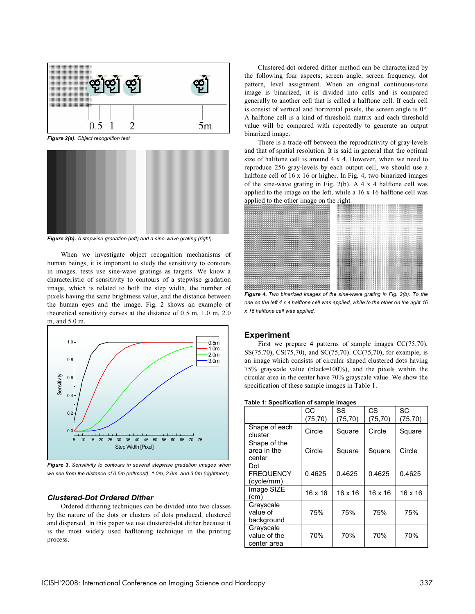

*Figure 2(a). Object recognition test*



*Figure 2(b). A stepwise gradation (left) and a sine-wave grating (right).*

When we investigate object recognition mechanisms of human beings, it is important to study the sensitivity to contours in images. tests use sine-wave gratings as targets. We know a characteristic of sensitivity to contours of a stepwise gradation image, which is related to both the step width, the number of pixels having the same brightness value, and the distance between the human eyes and the image. Fig. 2 shows an example of theoretical sensitivity curves at the distance of 0.5 m, 1.0 m, 2.0 m, and 5.0 m.



*Figure 3. Sensitivity to contours in several stepwise gradation images when we see from the distance of 0.5m (leftmost), 1.0m, 2.0m, and 3.0m (rightmost).*

# *Clustered-Dot Ordered Dither*

Ordered dithering techniques can be divided into two classes by the nature of the dots or clusters of dots produced, clustered and dispersed. In this paper we use clustered-dot dither because it is the most widely used hafltoning technique in the printing process.

Clustered-dot ordered dither method can be characterized by the following four aspects; screen angle, screen frequency, dot pattern, level assignment. When an original continuous-tone image is binarized, it is divided into cells and is compared generally to another cell that is called a halftone cell. If each cell is consist of vertical and horizontal pixels, the screen angle is 0°. A halftone cell is a kind of threshold matrix and each threshold value will be compared with repeatedly to generate an output binarized image.

There is a trade-off between the reproductivity of gray-levels and that of spatial resolution. It is said in general that the optimal size of halftone cell is around 4 x 4. However, when we need to reproduce 256 gray-levels by each output cell, we should use a halftone cell of 16 x 16 or higher. In Fig. 4, two binarized images of the sine-wave grating in Fig. 2(b). A 4 x 4 halftone cell was applied to the image on the left, while a 16 x 16 halftone cell was applied to the other image on the right.



*Figure 4. Two binarized images of the sine-wave grating in Fig. 2(b). To the one on the left 4 x 4 halftone cell was applied, while to the other on the right 16 x 16 halftone cell was applied.*

# **Experiment**

First we prepare 4 patterns of sample images CC(75,70), SS(75,70), CS(75,70), and SC(75,70). CC(75,70), for example, is an image which consists of circular shaped clustered dots having 75% grayscale value (black=100%), and the pixels within the circular area in the center have 70% grayscale value. We show the specification of these sample images in Table 1.

| Table 1: Specification of sample images |  |  |
|-----------------------------------------|--|--|
|-----------------------------------------|--|--|

|                                       | CC             | SS             | CS       | SC             |
|---------------------------------------|----------------|----------------|----------|----------------|
|                                       | (75, 70)       | (75, 70)       | (75, 70) | (75, 70)       |
| Shape of each<br>cluster              | Circle         | Square         | Circle   | Square         |
| Shape of the<br>area in the<br>center | Circle         | Square         | Square   | Circle         |
| Dot                                   |                |                |          |                |
| <b>FREQUENCY</b>                      | 0.4625         | 0.4625         | 0.4625   | 0.4625         |
| (cycle/mm)                            |                |                |          |                |
| Image SIZE                            | $16 \times 16$ | $16 \times 16$ | 16 x 16  | $16 \times 16$ |
| (cm)                                  |                |                |          |                |
| Grayscale                             |                |                |          |                |
| value of                              | 75%            | 75%            | 75%      | 75%            |
| background                            |                |                |          |                |
| Grayscale                             |                |                |          |                |
| value of the                          | 70%            | 70%            | 70%      | 70%            |
| center area                           |                |                |          |                |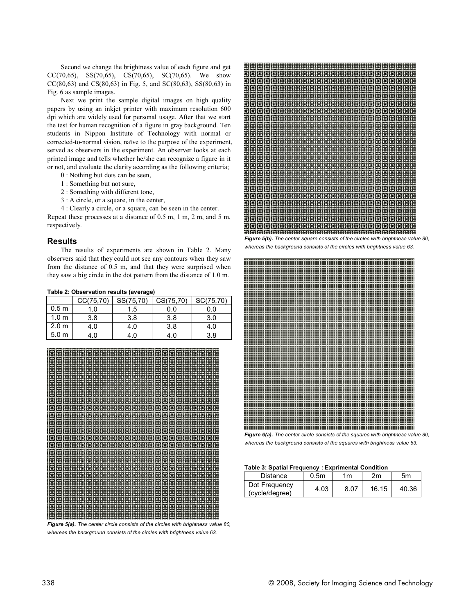Second we change the brightness value of each figure and get CC(70,65), SS(70,65), CS(70,65), SC(70,65). We show CC(80,63) and CS(80,63) in Fig. 5, and SC(80,63), SS(80,63) in Fig. 6 as sample images.

Next we print the sample digital images on high quality papers by using an inkjet printer with maximum resolution 600 dpi which are widely used for personal usage. After that we start the test for human recognition of a figure in gray background. Ten students in Nippon Institute of Technology with normal or corrected-to-normal vision, naïve to the purpose of the experiment, served as observers in the experiment. An observer looks at each printed image and tells whether he/she can recognize a figure in it or not, and evaluate the clarity according as the following criteria;

- 0 : Nothing but dots can be seen,
- 1 : Something but not sure,
- 2 : Something with different tone,
- 3 : A circle, or a square, in the center,

4 : Clearly a circle, or a square, can be seen in the center. Repeat these processes at a distance of 0.5 m, 1 m, 2 m, and 5 m, respectively.

## **Results**

The results of experiments are shown in Table 2. Many observers said that they could not see any contours when they saw from the distance of 0.5 m, and that they were surprised when they saw a big circle in the dot pattern from the distance of 1.0 m.

#### **Table 2: Observation results (average)**

|                  | CC(75, 70) | SS(75,70) | CS(75, 70) | SC(75,70) |
|------------------|------------|-----------|------------|-----------|
| 0.5 <sub>m</sub> | 1.0        | 1.5       | 0.0        | 0.0       |
| 1.0 <sub>m</sub> | 3.8        | 3.8       | 3.8        | 3.0       |
| 2.0 <sub>m</sub> | 4.0        | 4.0       | 3.8        | 4.0       |
| 5.0 <sub>m</sub> | 4.0        | 4.0       | 4.0        | 3.8       |



*whereas the background consists of the circles with brightness value 63.*



*whereas the background consists of the circles with brightness value 63.*



*Figure 6(a). The center circle consists of the squares with brightness value 80, whereas the background consists of the squares with brightness value 63.*

### **Table 3: Spatial Frequency : Exprimental Condition**

| <b>Distance</b>                 | 0.5 <sub>m</sub> | 1m   | 2m    | 5m    |
|---------------------------------|------------------|------|-------|-------|
| Dot Frequency<br>(cycle/degree) | 4.03             | 8.07 | 16.15 | 40.36 |